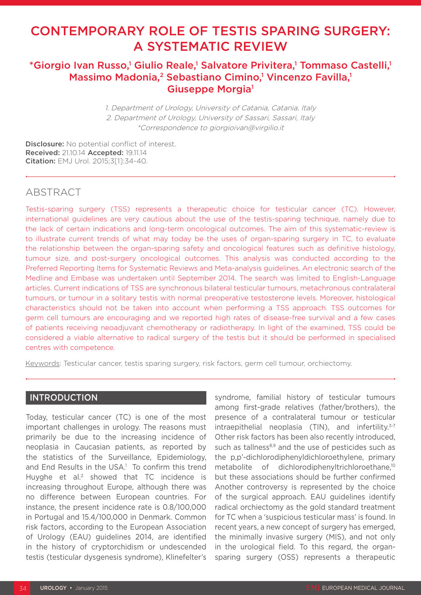# CONTEMPORARY ROLE OF TESTIS SPARING SURGERY: A SYSTEMATIC REVIEW

# \*Giorgio Ivan Russo,<sup>1</sup> Giulio Reale,<sup>1</sup> Salvatore Privitera,<sup>1</sup> Tommaso Castelli,<sup>1</sup> Massimo Madonia,<sup>2</sup> Sebastiano Cimino,<sup>1</sup> Vincenzo Favilla,<sup>1</sup> Giuseppe Morgia<sup>1</sup>

1. Department of Urology, University of Catania, Catania, Italy 2. Department of Urology, University of Sassari, Sassari, Italy \*Correspondence to giorgioivan@virgilio.it

Disclosure: No potential conflict of interest. Received: 21.10.14 Accepted: 19.11.14 Citation: EMJ Urol. 2015;3[1]:34-40.

# ABSTRACT

Testis-sparing surgery (TSS) represents a therapeutic choice for testicular cancer (TC). However, international guidelines are very cautious about the use of the testis-sparing technique, namely due to the lack of certain indications and long-term oncological outcomes. The aim of this systematic-review is to illustrate current trends of what may today be the uses of organ-sparing surgery in TC, to evaluate the relationship between the organ-sparing safety and oncological features such as definitive histology, tumour size, and post-surgery oncological outcomes. This analysis was conducted according to the Preferred Reporting Items for Systematic Reviews and Meta-analysis guidelines. An electronic search of the Medline and Embase was undertaken until September 2014. The search was limited to English-Language articles. Current indications of TSS are synchronous bilateral testicular tumours, metachronous contralateral tumours, or tumour in a solitary testis with normal preoperative testosterone levels. Moreover, histological characteristics should not be taken into account when performing a TSS approach. TSS outcomes for germ cell tumours are encouraging and we reported high rates of disease-free survival and a few cases of patients receiving neoadjuvant chemotherapy or radiotherapy. In light of the examined, TSS could be considered a viable alternative to radical surgery of the testis but it should be performed in specialised centres with competence.

Keywords: Testicular cancer, testis sparing surgery, risk factors, germ cell tumour, orchiectomy.

### INTRODUCTION

Today, testicular cancer (TC) is one of the most important challenges in urology. The reasons must primarily be due to the increasing incidence of neoplasia in Caucasian patients, as reported by the statistics of the Surveillance, Epidemiology, and End Results in the USA.<sup>1</sup> To confirm this trend Huyghe et al.<sup>2</sup> showed that TC incidence is increasing throughout Europe, although there was no difference between European countries. For instance, the present incidence rate is 0.8/100,000 in Portugal and 15.4/100,000 in Denmark. Common risk factors, according to the European Association of Urology (EAU) guidelines 2014, are identified in the history of cryptorchidism or undescended testis (testicular dysgenesis syndrome), Klinefelter's

syndrome, familial history of testicular tumours among first-grade relatives (father/brothers), the presence of a contralateral tumour or testicular intraepithelial neoplasia (TIN), and infertility.<sup>3-7</sup> Other risk factors has been also recently introduced, such as tallness<sup>8,9</sup> and the use of pesticides such as the p,p'-dichlorodiphenyldichloroethylene, primary metabolite of dichlorodiphenyltrichloroethane,10 but these associations should be further confirmed Another controversy is represented by the choice of the surgical approach. EAU guidelines identify radical orchiectomy as the gold standard treatment for TC when a 'suspicious testicular mass' is found. In recent years, a new concept of surgery has emerged, the minimally invasive surgery (MIS), and not only in the urological field. To this regard, the organsparing surgery (OSS) represents a therapeutic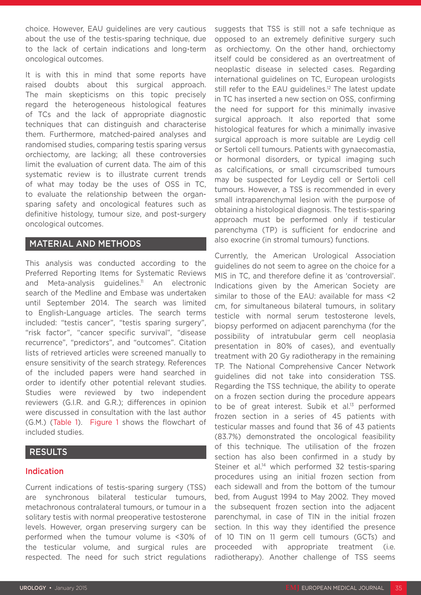choice. However, EAU guidelines are very cautious about the use of the testis-sparing technique, due to the lack of certain indications and long-term oncological outcomes.

It is with this in mind that some reports have raised doubts about this surgical approach. The main skepticisms on this topic precisely regard the heterogeneous histological features of TCs and the lack of appropriate diagnostic techniques that can distinguish and characterise them. Furthermore, matched-paired analyses and randomised studies, comparing testis sparing versus orchiectomy, are lacking; all these controversies limit the evaluation of current data. The aim of this systematic review is to illustrate current trends of what may today be the uses of OSS in TC, to evaluate the relationship between the organsparing safety and oncological features such as definitive histology, tumour size, and post-surgery oncological outcomes.

## MATERIAL AND METHODS

This analysis was conducted according to the Preferred Reporting Items for Systematic Reviews and Meta-analysis guidelines.<sup>11</sup> An electronic search of the Medline and Embase was undertaken until September 2014. The search was limited to English-Language articles. The search terms included: "testis cancer", "testis sparing surgery", "risk factor", "cancer specific survival", "disease recurrence", "predictors", and "outcomes". Citation lists of retrieved articles were screened manually to ensure sensitivity of the search strategy. References of the included papers were hand searched in order to identify other potential relevant studies. Studies were reviewed by two independent reviewers (G.I.R. and G.R.); differences in opinion were discussed in consultation with the last author (G.M.) (Table 1). Figure 1 shows the flowchart of included studies.

### RESULTS

### Indication

Current indications of testis-sparing surgery (TSS) are synchronous bilateral testicular tumours, metachronous contralateral tumours, or tumour in a solitary testis with normal preoperative testosterone levels. However, organ preserving surgery can be performed when the tumour volume is <30% of the testicular volume, and surgical rules are respected. The need for such strict regulations

suggests that TSS is still not a safe technique as opposed to an extremely definitive surgery such as orchiectomy. On the other hand, orchiectomy itself could be considered as an overtreatment of neoplastic disease in selected cases. Regarding international guidelines on TC, European urologists still refer to the EAU guidelines.<sup>12</sup> The latest update in TC has inserted a new section on OSS, confirming the need for support for this minimally invasive surgical approach. It also reported that some histological features for which a minimally invasive surgical approach is more suitable are Leydig cell or Sertoli cell tumours. Patients with gynaecomastia, or hormonal disorders, or typical imaging such as calcifications, or small circumscribed tumours may be suspected for Leydig cell or Sertoli cell tumours. However, a TSS is recommended in every small intraparenchymal lesion with the purpose of obtaining a histological diagnosis. The testis-sparing approach must be performed only if testicular parenchyma (TP) is sufficient for endocrine and also exocrine (in stromal tumours) functions.

Currently, the American Urological Association guidelines do not seem to agree on the choice for a MIS in TC, and therefore define it as 'controversial'. Indications given by the American Society are similar to those of the EAU: available for mass <2 cm, for simultaneous bilateral tumours, in solitary testicle with normal serum testosterone levels, biopsy performed on adjacent parenchyma (for the possibility of intratubular germ cell neoplasia presentation in 80% of cases), and eventually treatment with 20 Gy radiotherapy in the remaining TP. The National Comprehensive Cancer Network guidelines did not take into consideration TSS. Regarding the TSS technique, the ability to operate on a frozen section during the procedure appears to be of great interest. Subik et al.<sup>13</sup> performed frozen section in a series of 45 patients with testicular masses and found that 36 of 43 patients (83.7%) demonstrated the oncological feasibility of this technique. The utilisation of the frozen section has also been confirmed in a study by Steiner et al.<sup>14</sup> which performed 32 testis-sparing procedures using an initial frozen section from each sidewall and from the bottom of the tumour bed, from August 1994 to May 2002. They moved the subsequent frozen section into the adjacent parenchymal, in case of TIN in the initial frozen section. In this way they identified the presence of 10 TIN on 11 germ cell tumours (GCTs) and proceeded with appropriate treatment (i.e. radiotherapy). Another challenge of TSS seems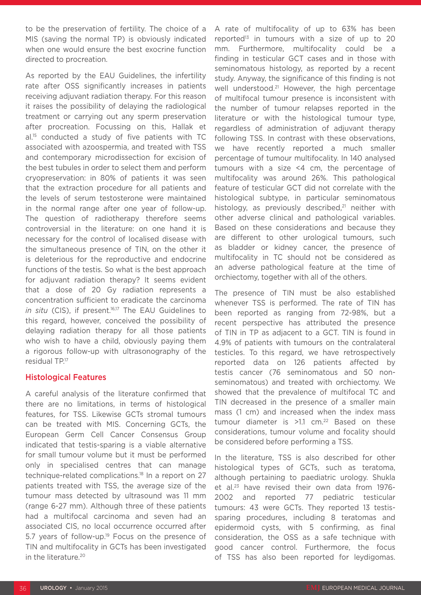to be the preservation of fertility. The choice of a MIS (saving the normal TP) is obviously indicated when one would ensure the best exocrine function directed to procreation.

As reported by the EAU Guidelines, the infertility rate after OSS significantly increases in patients receiving adjuvant radiation therapy. For this reason it raises the possibility of delaying the radiological treatment or carrying out any sperm preservation after procreation. Focussing on this, Hallak et al.15 conducted a study of five patients with TC associated with azoospermia, and treated with TSS and contemporary microdissection for excision of the best tubules in order to select them and perform cryopreservation: in 80% of patients it was seen that the extraction procedure for all patients and the levels of serum testosterone were maintained in the normal range after one year of follow-up. The question of radiotherapy therefore seems controversial in the literature: on one hand it is necessary for the control of localised disease with the simultaneous presence of TIN, on the other it is deleterious for the reproductive and endocrine functions of the testis. So what is the best approach for adjuvant radiation therapy? It seems evident that a dose of 20 Gy radiation represents a concentration sufficient to eradicate the carcinoma *in situ* (CIS), if present.<sup>16,17</sup> The EAU Guidelines to this regard, however, conceived the possibility of delaying radiation therapy for all those patients who wish to have a child, obviously paying them a rigorous follow-up with ultrasonography of the residual TP.17

#### Histological Features

A careful analysis of the literature confirmed that there are no limitations, in terms of histological features, for TSS. Likewise GCTs stromal tumours can be treated with MIS. Concerning GCTs, the European Germ Cell Cancer Consensus Group indicated that testis-sparing is a viable alternative for small tumour volume but it must be performed only in specialised centres that can manage technique-related complications.18 In a report on 27 patients treated with TSS, the average size of the tumour mass detected by ultrasound was 11 mm (range 6-27 mm). Although three of these patients had a multifocal carcinoma and seven had an associated CIS, no local occurrence occurred after 5.7 years of follow-up.<sup>19</sup> Focus on the presence of TIN and multifocality in GCTs has been investigated in the literature.<sup>20</sup>

A rate of multifocality of up to 63% has been reported<sup>13</sup> in tumours with a size of up to 20 mm. Furthermore, multifocality could be a finding in testicular GCT cases and in those with seminomatous histology, as reported by a recent study. Anyway, the significance of this finding is not well understood.<sup>21</sup> However, the high percentage of multifocal tumour presence is inconsistent with the number of tumour relapses reported in the literature or with the histological tumour type, regardless of administration of adjuvant therapy following TSS. In contrast with these observations, we have recently reported a much smaller percentage of tumour multifocality. In 140 analysed tumours with a size <4 cm, the percentage of multifocality was around 26%. This pathological feature of testicular GCT did not correlate with the histological subtype, in particular seminomatous histology, as previously described, $21$  neither with other adverse clinical and pathological variables. Based on these considerations and because they are different to other urological tumours, such as bladder or kidney cancer, the presence of multifocality in TC should not be considered as an adverse pathological feature at the time of orchiectomy, together with all of the others.

The presence of TIN must be also established whenever TSS is performed. The rate of TIN has been reported as ranging from 72-98%, but a recent perspective has attributed the presence of TIN in TP as adjacent to a GCT. TIN is found in 4.9% of patients with tumours on the contralateral testicles. To this regard, we have retrospectively reported data on 126 patients affected by testis cancer (76 seminomatous and 50 nonseminomatous) and treated with orchiectomy. We showed that the prevalence of multifocal TC and TIN decreased in the presence of a smaller main mass (1 cm) and increased when the index mass tumour diameter is  $>1.1$  cm.<sup>22</sup> Based on these considerations, tumour volume and focality should be considered before performing a TSS.

In the literature, TSS is also described for other histological types of GCTs, such as teratoma, although pertaining to paediatric urology. Shukla et al.23 have revised their own data from 1976- 2002 and reported 77 pediatric testicular tumours: 43 were GCTs. They reported 13 testissparing procedures, including 8 teratomas and epidermoid cysts, with 5 confirming, as final consideration, the OSS as a safe technique with good cancer control. Furthermore, the focus of TSS has also been reported for leydigomas.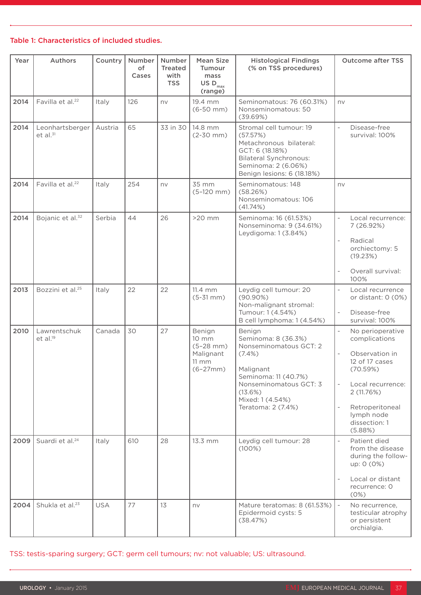#### Table 1: Characteristics of included studies.

| Year | Authors                                 | Country    | <b>Number</b><br>of<br>Cases | Number<br><b>Treated</b><br>with<br><b>TSS</b> | <b>Mean Size</b><br>Tumour<br>mass<br>US $\mathsf{D}_{\max}$<br>(range)                    | <b>Histological Findings</b><br>(% on TSS procedures)                                                                                                                                    | <b>Outcome after TSS</b>                                                                                                                                                                            |
|------|-----------------------------------------|------------|------------------------------|------------------------------------------------|--------------------------------------------------------------------------------------------|------------------------------------------------------------------------------------------------------------------------------------------------------------------------------------------|-----------------------------------------------------------------------------------------------------------------------------------------------------------------------------------------------------|
| 2014 | Favilla et al. <sup>22</sup>            | Italy      | 126                          | nv                                             | 19.4 mm<br>$(6-50$ mm $)$                                                                  | Seminomatous: 76 (60.31%)<br>Nonseminomatous: 50<br>(39.69%)                                                                                                                             | nv                                                                                                                                                                                                  |
| 2014 | Leonhartsberger<br>et al. <sup>31</sup> | Austria    | 65                           | 33 in 30                                       | 14.8 mm<br>$(2-30$ mm $)$                                                                  | Stromal cell tumour: 19<br>(57.57%)<br>Metachronous bilateral:<br>GCT: 6 (18.18%)<br><b>Bilateral Synchronous:</b><br>Seminoma: 2 (6.06%)<br>Benign lesions: 6 (18.18%)                  | Disease-free<br>survival: 100%                                                                                                                                                                      |
| 2014 | Favilla et al. <sup>22</sup>            | Italy      | 254                          | nv                                             | 35 mm<br>$(5-120$ mm)                                                                      | Seminomatous: 148<br>(58.26%)<br>Nonseminomatous: 106<br>(41.74%)                                                                                                                        | nv                                                                                                                                                                                                  |
| 2014 | Bojanic et al. <sup>32</sup>            | Serbia     | 44                           | 26                                             | $>20$ mm                                                                                   | Seminoma: 16 (61.53%)<br>Nonseminoma: 9 (34.61%)<br>Leydigoma: 1 (3.84%)                                                                                                                 | $\overline{\phantom{0}}$<br>Local recurrence:<br>7 (26.92%)<br>Radical<br>orchiectomy: 5<br>(19.23%)<br>Overall survival:<br>100%                                                                   |
| 2013 | Bozzini et al. <sup>25</sup>            | Italy      | 22                           | 22                                             | 11.4 mm<br>$(5-31$ mm $)$                                                                  | Leydig cell tumour: 20<br>$(90.90\%)$<br>Non-malignant stromal:<br>Tumour: 1 (4.54%)<br>B cell lymphoma: 1 (4.54%)                                                                       | Local recurrence<br>$\overline{\phantom{a}}$<br>or distant: $0(0%)$<br>Disease-free<br>survival: 100%                                                                                               |
| 2010 | Lawrentschuk<br>et al. <sup>19</sup>    | Canada     | 30                           | 27                                             | Benign<br>$10 \, \text{mm}$<br>$(5-28$ mm)<br>Malignant<br>$11 \, \text{mm}$<br>$(6-27mm)$ | Benign<br>Seminoma: 8 (36.3%)<br>Nonseminomatous GCT: 2<br>$(7.4\%)$<br>Malignant<br>Seminoma: 11 (40.7%)<br>Nonseminomatous GCT: 3<br>(13.6%)<br>Mixed: 1 (4.54%)<br>Teratoma: 2 (7.4%) | No perioperative<br>complications<br>Observation in<br>$\overline{a}$<br>12 of 17 cases<br>(70.59%)<br>Local recurrence:<br>2 (11.76%)<br>Retroperitoneal<br>lymph node<br>dissection: 1<br>(5.88%) |
| 2009 | Suardi et al. <sup>24</sup>             | Italy      | 610                          | 28                                             | 13.3 mm                                                                                    | Leydig cell tumour: 28<br>(100%)                                                                                                                                                         | Patient died<br>from the disease<br>during the follow-<br>up: 0 (0%)<br>Local or distant<br>$\overline{a}$<br>recurrence: 0<br>(0%)                                                                 |
| 2004 | Shukla et al. <sup>23</sup>             | <b>USA</b> | 77                           | 13                                             | nv                                                                                         | Mature teratomas: 8 (61.53%)<br>Epidermoid cysts: 5<br>(38.47%)                                                                                                                          | No recurrence,<br>$\overline{\phantom{a}}$<br>testicular atrophy<br>or persistent<br>orchialgia.                                                                                                    |

TSS: testis-sparing surgery; GCT: germ cell tumours; nv: not valuable; US: ultrasound.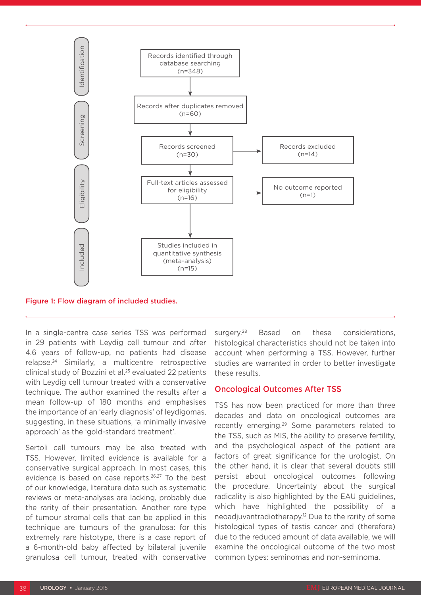

#### Figure 1: Flow diagram of included studies.

In a single-centre case series TSS was performed in 29 patients with Leydig cell tumour and after 4.6 years of follow-up, no patients had disease relapse.24 Similarly, a multicentre retrospective clinical study of Bozzini et al.25 evaluated 22 patients with Leydig cell tumour treated with a conservative technique. The author examined the results after a mean follow-up of 180 months and emphasises the importance of an 'early diagnosis' of leydigomas, suggesting, in these situations, 'a minimally invasive approach' as the 'gold-standard treatment'.

Sertoli cell tumours may be also treated with TSS. However, limited evidence is available for a conservative surgical approach. In most cases, this evidence is based on case reports.26,27 To the best of our knowledge, literature data such as systematic reviews or meta-analyses are lacking, probably due the rarity of their presentation. Another rare type of tumour stromal cells that can be applied in this technique are tumours of the granulosa: for this extremely rare histotype, there is a case report of a 6-month-old baby affected by bilateral juvenile granulosa cell tumour, treated with conservative

surgery.<sup>28</sup> Based on these considerations, histological characteristics should not be taken into account when performing a TSS. However, further studies are warranted in order to better investigate these results.

#### Oncological Outcomes After TSS

TSS has now been practiced for more than three decades and data on oncological outcomes are recently emerging.29 Some parameters related to the TSS, such as MIS, the ability to preserve fertility, and the psychological aspect of the patient are factors of great significance for the urologist. On the other hand, it is clear that several doubts still persist about oncological outcomes following the procedure. Uncertainty about the surgical radicality is also highlighted by the EAU guidelines, which have highlighted the possibility of a neoadjuvantradiotherapy.12 Due to the rarity of some histological types of testis cancer and (therefore) due to the reduced amount of data available, we will examine the oncological outcome of the two most common types: seminomas and non-seminoma.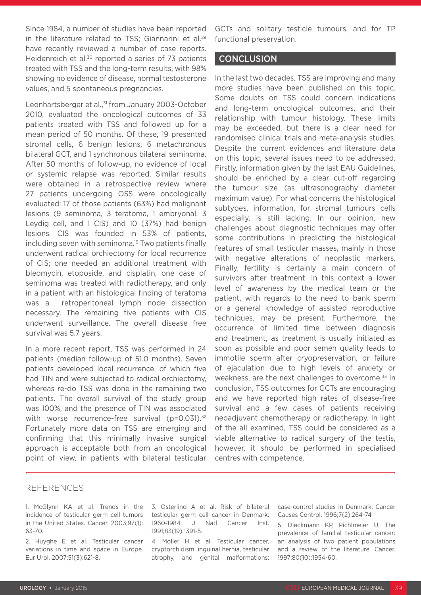Since 1984, a number of studies have been reported in the literature related to TSS; Giannarini et al.<sup>29</sup> have recently reviewed a number of case reports. Heidenreich et al.<sup>30</sup> reported a series of 73 patients treated with TSS and the long-term results, with 98% showing no evidence of disease, normal testosterone values, and 5 spontaneous pregnancies.

Leonhartsberger et al.,<sup>31</sup> from January 2003-October 2010, evaluated the oncological outcomes of 33 patients treated with TSS and followed up for a mean period of 50 months. Of these, 19 presented stromal cells, 6 benign lesions, 6 metachronous bilateral GCT, and 1 synchronous bilateral seminoma. After 50 months of follow-up, no evidence of local or systemic relapse was reported. Similar results were obtained in a retrospective review where 27 patients undergoing OSS were oncologically evaluated: 17 of those patients (63%) had malignant lesions (9 seminoma, 3 teratoma, 1 embryonal, 3 Leydig cell, and 1 CIS) and 10 (37%) had benign lesions. CIS was founded in 53% of patients, including seven with seminoma.19 Two patients finally underwent radical orchiectomy for local recurrence of CIS; one needed an additional treatment with bleomycin, etoposide, and cisplatin, one case of seminoma was treated with radiotherapy, and only in a patient with an histological finding of teratoma was a retroperitoneal lymph node dissection necessary. The remaining five patients with CIS underwent surveillance. The overall disease free survival was 5.7 years.

In a more recent report, TSS was performed in 24 patients (median follow-up of 51.0 months). Seven patients developed local recurrence, of which five had TIN and were subjected to radical orchiectomy, whereas re-do TSS was done in the remaining two patients. The overall survival of the study group was 100%, and the presence of TIN was associated with worse recurrence-free survival (p=0.031).<sup>32</sup> Fortunately more data on TSS are emerging and confirming that this minimally invasive surgical approach is acceptable both from an oncological point of view, in patients with bilateral testicular GCTs and solitary testicle tumours, and for TP functional preservation.

#### **CONCLUSION**

In the last two decades, TSS are improving and many more studies have been published on this topic. Some doubts on TSS could concern indications and long-term oncological outcomes, and their relationship with tumour histology. These limits may be exceeded, but there is a clear need for randomised clinical trials and meta-analysis studies. Despite the current evidences and literature data on this topic, several issues need to be addressed. Firstly, information given by the last EAU Guidelines, should be enriched by a clear cut-off regarding the tumour size (as ultrasonography diameter maximum value). For what concerns the histological subtypes, information, for stromal tumours cells especially, is still lacking. In our opinion, new challenges about diagnostic techniques may offer some contributions in predicting the histological features of small testicular masses, mainly in those with negative alterations of neoplastic markers. Finally, fertility is certainly a main concern of survivors after treatment. In this context a lower level of awareness by the medical team or the patient, with regards to the need to bank sperm or a general knowledge of assisted reproductive techniques, may be present. Furthermore, the occurrence of limited time between diagnosis and treatment, as treatment is usually initiated as soon as possible and poor semen quality leads to immotile sperm after cryopreservation, or failure of ejaculation due to high levels of anxiety or weakness, are the next challenges to overcome.<sup>33</sup> In conclusion, TSS outcomes for GCTs are encouraging and we have reported high rates of disease-free survival and a few cases of patients receiving neoadjuvant chemotherapy or radiotherapy. In light of the all examined, TSS could be considered as a viable alternative to radical surgery of the testis, however, it should be performed in specialised centres with competence.

#### REFERENCES

1. McGlynn KA et al. Trends in the incidence of testicular germ cell tumors in the United States. Cancer. 2003;97(1): 63-70.

2. Huyghe E et al. Testicular cancer variations in time and space in Europe. Eur Urol. 2007;51(3):621-8.

3. Osterlind A et al. Risk of bilateral testicular germ cell cancer in Denmark: 1960-1984. J Natl Cancer Inst. 1991;83(19):1391-5.

4. Moller H et al. Testicular cancer, cryptorchidism, inguinal hernia, testicular atrophy, and genital malformations:

case-control studies in Denmark. Cancer Causes Control. 1996;7(2):264-74

5. Dieckmann KP, Pichlmeier U. The prevalence of familial testicular cancer: an analysis of two patient populations and a review of the literature. Cancer. 1997;80(10):1954-60.